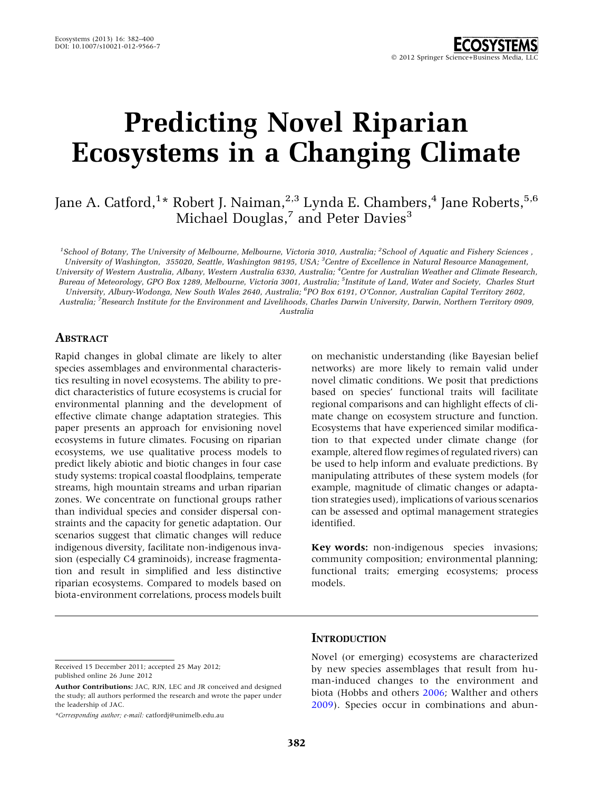# Predicting Novel Riparian Ecosystems in a Changing Climate

# Jane A. Catford, $^{1\star}$  Robert J. Naiman, $^{2,3}$  Lynda E. Chambers, $^{4}$  Jane Roberts, $^{5,6}$ Michael Douglas, $^7$  and Peter Davies $^3$

<sup>1</sup>School of Botany, The University of Melbourne, Melbourne, Victoria 3010, Australia; <sup>2</sup>School of Aquatic and Fishery Sciences, University of Washington, 355020, Seattle, Washington 98195, USA; <sup>3</sup>Centre of Excellence in Natural Resource Management, University of Western Australia, Albany, Western Australia 6330, Australia; <sup>4</sup> Centre for Australian Weather and Climate Research,

Bureau of Meteorology, GPO Box 1289, Melbourne, Victoria 3001, Australia; <sup>5</sup>Institute of Land, Water and Society, Charles Sturt

University, Albury-Wodonga, New South Wales 2640, Australia; <sup>6</sup>PO Box 6191, O'Connor, Australian Capital Territory 2602, Australia; <sup>7</sup>Research Institute for the Environment and Livelihoods, Charles Darwin University, Darwin, Northern Territory 0909, Australia

#### ABSTRACT

Rapid changes in global climate are likely to alter species assemblages and environmental characteristics resulting in novel ecosystems. The ability to predict characteristics of future ecosystems is crucial for environmental planning and the development of effective climate change adaptation strategies. This paper presents an approach for envisioning novel ecosystems in future climates. Focusing on riparian ecosystems, we use qualitative process models to predict likely abiotic and biotic changes in four case study systems: tropical coastal floodplains, temperate streams, high mountain streams and urban riparian zones. We concentrate on functional groups rather than individual species and consider dispersal constraints and the capacity for genetic adaptation. Our scenarios suggest that climatic changes will reduce indigenous diversity, facilitate non-indigenous invasion (especially C4 graminoids), increase fragmentation and result in simplified and less distinctive riparian ecosystems. Compared to models based on biota-environment correlations, process models built

on mechanistic understanding (like Bayesian belief networks) are more likely to remain valid under novel climatic conditions. We posit that predictions based on species' functional traits will facilitate regional comparisons and can highlight effects of climate change on ecosystem structure and function. Ecosystems that have experienced similar modification to that expected under climate change (for example, altered flow regimes of regulated rivers) can be used to help inform and evaluate predictions. By manipulating attributes of these system models (for example, magnitude of climatic changes or adaptation strategies used), implications of various scenarios can be assessed and optimal management strategies identified.

Key words: non-indigenous species invasions; community composition; environmental planning; functional traits; emerging ecosystems; process models.

\*Corresponding author; e-mail: catfordj@unimelb.edu.au

#### **INTRODUCTION**

Novel (or emerging) ecosystems are characterized by new species assemblages that result from human-induced changes to the environment and biota (Hobbs and others [2006](#page-16-0); Walther and others [2009\)](#page-17-0). Species occur in combinations and abun-

Received 15 December 2011; accepted 25 May 2012; published online 26 June 2012

Author Contributions: JAC, RJN, LEC and JR conceived and designed the study; all authors performed the research and wrote the paper under the leadership of JAC.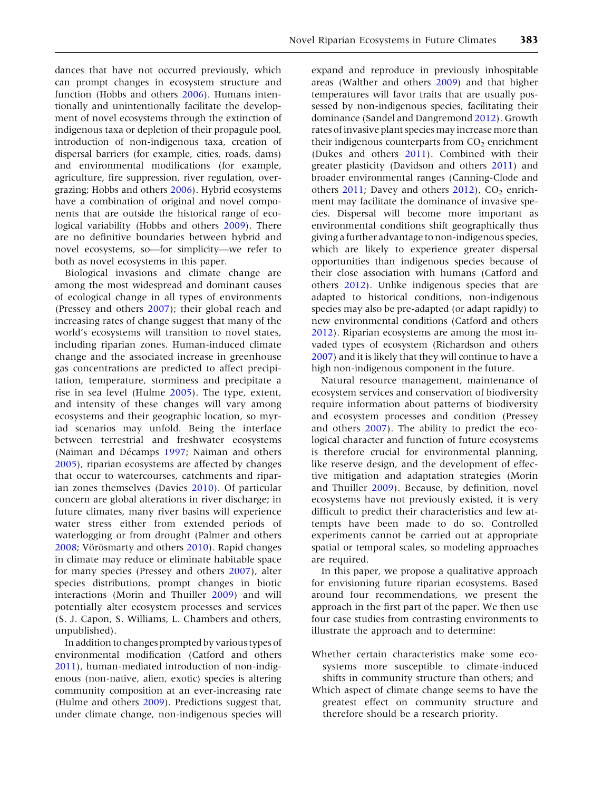dances that have not occurred previously, which can prompt changes in ecosystem structure and function (Hobbs and others [2006](#page-16-0)). Humans intentionally and unintentionally facilitate the development of novel ecosystems through the extinction of indigenous taxa or depletion of their propagule pool, introduction of non-indigenous taxa, creation of dispersal barriers (for example, cities, roads, dams) and environmental modifications (for example, agriculture, fire suppression, river regulation, overgrazing; Hobbs and others [2006](#page-16-0)). Hybrid ecosystems have a combination of original and novel components that are outside the historical range of ecological variability (Hobbs and others [2009\)](#page-16-0). There are no definitive boundaries between hybrid and novel ecosystems, so—for simplicity—we refer to both as novel ecosystems in this paper.

Biological invasions and climate change are among the most widespread and dominant causes of ecological change in all types of environments (Pressey and others [2007](#page-17-0)); their global reach and increasing rates of change suggest that many of the world's ecosystems will transition to novel states, including riparian zones. Human-induced climate change and the associated increase in greenhouse gas concentrations are predicted to affect precipitation, temperature, storminess and precipitate a rise in sea level (Hulme [2005](#page-16-0)). The type, extent, and intensity of these changes will vary among ecosystems and their geographic location, so myriad scenarios may unfold. Being the interface between terrestrial and freshwater ecosystems (Naiman and Décamps [1997](#page-17-0); Naiman and others [2005\)](#page-17-0), riparian ecosystems are affected by changes that occur to watercourses, catchments and riparian zones themselves (Davies [2010](#page-15-0)). Of particular concern are global alterations in river discharge; in future climates, many river basins will experience water stress either from extended periods of waterlogging or from drought (Palmer and others [2008;](#page-17-0) Vörösmarty and others [2010\)](#page-17-0). Rapid changes in climate may reduce or eliminate habitable space for many species (Pressey and others [2007](#page-17-0)), alter species distributions, prompt changes in biotic interactions (Morin and Thuiller [2009](#page-17-0)) and will potentially alter ecosystem processes and services (S. J. Capon, S. Williams, L. Chambers and others, unpublished).

In addition tochanges prompted by various types of environmental modification (Catford and others [2011\)](#page-15-0), human-mediated introduction of non-indigenous (non-native, alien, exotic) species is altering community composition at an ever-increasing rate (Hulme and others [2009\)](#page-16-0). Predictions suggest that, under climate change, non-indigenous species will

expand and reproduce in previously inhospitable areas (Walther and others [2009](#page-17-0)) and that higher temperatures will favor traits that are usually possessed by non-indigenous species, facilitating their dominance (Sandel and Dangremond [2012\)](#page-17-0). Growth rates of invasive plant species may increase more than their indigenous counterparts from  $CO<sub>2</sub>$  enrichment (Dukes and others [2011](#page-16-0)). Combined with their greater plasticity (Davidson and others [2011](#page-15-0)) and broader environmental ranges (Canning-Clode and others  $2011$ ; Davey and others  $2012$ ),  $CO<sub>2</sub>$  enrichment may facilitate the dominance of invasive species. Dispersal will become more important as environmental conditions shift geographically thus giving a further advantage to non-indigenous species, which are likely to experience greater dispersal opportunities than indigenous species because of their close association with humans (Catford and others [2012](#page-15-0)). Unlike indigenous species that are adapted to historical conditions, non-indigenous species may also be pre-adapted (or adapt rapidly) to new environmental conditions (Catford and others [2012\)](#page-15-0). Riparian ecosystems are among the most invaded types of ecosystem (Richardson and others [2007\)](#page-17-0) and it is likely that they will continue to have a high non-indigenous component in the future.

Natural resource management, maintenance of ecosystem services and conservation of biodiversity require information about patterns of biodiversity and ecosystem processes and condition (Pressey and others [2007\)](#page-17-0). The ability to predict the ecological character and function of future ecosystems is therefore crucial for environmental planning, like reserve design, and the development of effective mitigation and adaptation strategies (Morin and Thuiller [2009](#page-17-0)). Because, by definition, novel ecosystems have not previously existed, it is very difficult to predict their characteristics and few attempts have been made to do so. Controlled experiments cannot be carried out at appropriate spatial or temporal scales, so modeling approaches are required.

In this paper, we propose a qualitative approach for envisioning future riparian ecosystems. Based around four recommendations, we present the approach in the first part of the paper. We then use four case studies from contrasting environments to illustrate the approach and to determine:

- Whether certain characteristics make some ecosystems more susceptible to climate-induced shifts in community structure than others; and Which aspect of climate change seems to have the
- greatest effect on community structure and therefore should be a research priority.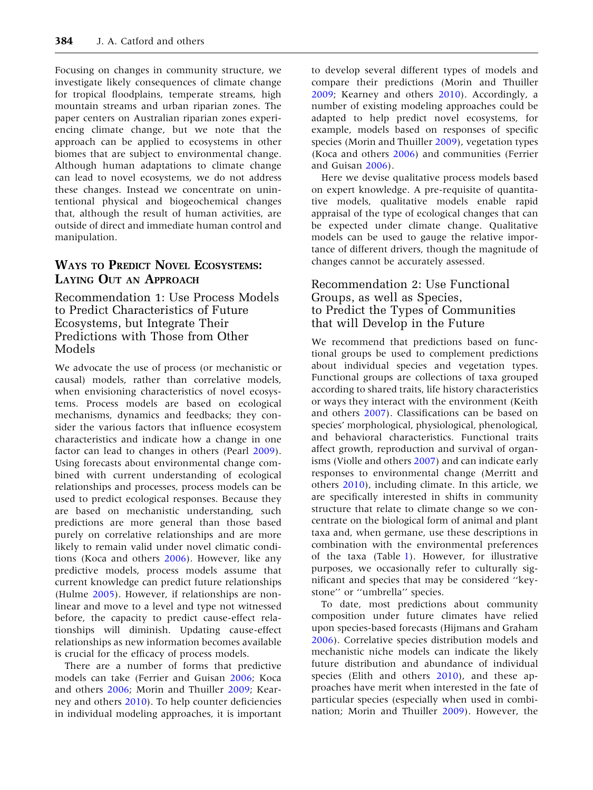Focusing on changes in community structure, we investigate likely consequences of climate change for tropical floodplains, temperate streams, high mountain streams and urban riparian zones. The paper centers on Australian riparian zones experiencing climate change, but we note that the approach can be applied to ecosystems in other biomes that are subject to environmental change. Although human adaptations to climate change can lead to novel ecosystems, we do not address these changes. Instead we concentrate on unintentional physical and biogeochemical changes that, although the result of human activities, are outside of direct and immediate human control and manipulation.

## WAYS TO PREDICT NOVEL ECOSYSTEMS: LAYING OUT AN APPROACH

Recommendation 1: Use Process Models to Predict Characteristics of Future Ecosystems, but Integrate Their Predictions with Those from Other Models

We advocate the use of process (or mechanistic or causal) models, rather than correlative models, when envisioning characteristics of novel ecosystems. Process models are based on ecological mechanisms, dynamics and feedbacks; they consider the various factors that influence ecosystem characteristics and indicate how a change in one factor can lead to changes in others (Pearl [2009](#page-17-0)). Using forecasts about environmental change combined with current understanding of ecological relationships and processes, process models can be used to predict ecological responses. Because they are based on mechanistic understanding, such predictions are more general than those based purely on correlative relationships and are more likely to remain valid under novel climatic conditions (Koca and others [2006\)](#page-16-0). However, like any predictive models, process models assume that current knowledge can predict future relationships (Hulme [2005\)](#page-16-0). However, if relationships are nonlinear and move to a level and type not witnessed before, the capacity to predict cause-effect relationships will diminish. Updating cause-effect relationships as new information becomes available is crucial for the efficacy of process models.

There are a number of forms that predictive models can take (Ferrier and Guisan [2006](#page-16-0); Koca and others [2006](#page-16-0); Morin and Thuiller [2009](#page-17-0); Kearney and others [2010](#page-16-0)). To help counter deficiencies in individual modeling approaches, it is important to develop several different types of models and compare their predictions (Morin and Thuiller [2009;](#page-17-0) Kearney and others [2010](#page-16-0)). Accordingly, a number of existing modeling approaches could be adapted to help predict novel ecosystems, for example, models based on responses of specific species (Morin and Thuiller [2009\)](#page-17-0), vegetation types (Koca and others [2006\)](#page-16-0) and communities (Ferrier and Guisan [2006](#page-16-0)).

Here we devise qualitative process models based on expert knowledge. A pre-requisite of quantitative models, qualitative models enable rapid appraisal of the type of ecological changes that can be expected under climate change. Qualitative models can be used to gauge the relative importance of different drivers, though the magnitude of changes cannot be accurately assessed.

#### Recommendation 2: Use Functional Groups, as well as Species, to Predict the Types of Communities that will Develop in the Future

We recommend that predictions based on functional groups be used to complement predictions about individual species and vegetation types. Functional groups are collections of taxa grouped according to shared traits, life history characteristics or ways they interact with the environment (Keith and others [2007\)](#page-16-0). Classifications can be based on species' morphological, physiological, phenological, and behavioral characteristics. Functional traits affect growth, reproduction and survival of organisms (Violle and others [2007](#page-17-0)) and can indicate early responses to environmental change (Merritt and others [2010](#page-16-0)), including climate. In this article, we are specifically interested in shifts in community structure that relate to climate change so we concentrate on the biological form of animal and plant taxa and, when germane, use these descriptions in combination with the environmental preferences of the taxa (Table [1](#page-3-0)). However, for illustrative purposes, we occasionally refer to culturally significant and species that may be considered ''keystone'' or ''umbrella'' species.

To date, most predictions about community composition under future climates have relied upon species-based forecasts (Hijmans and Graham [2006\)](#page-16-0). Correlative species distribution models and mechanistic niche models can indicate the likely future distribution and abundance of individual species (Elith and others [2010](#page-16-0)), and these approaches have merit when interested in the fate of particular species (especially when used in combination; Morin and Thuiller [2009](#page-17-0)). However, the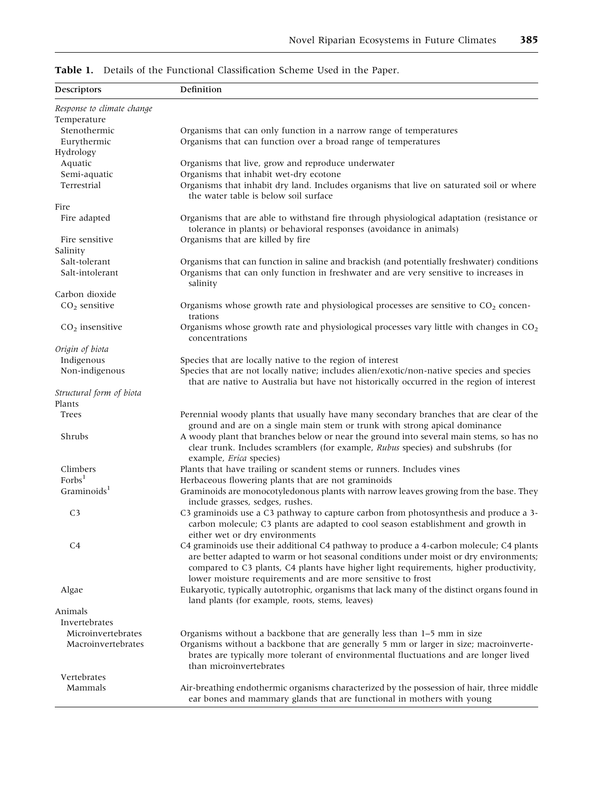| Descriptors                   | Definition                                                                                                                                                                                                                                                                                                                                |
|-------------------------------|-------------------------------------------------------------------------------------------------------------------------------------------------------------------------------------------------------------------------------------------------------------------------------------------------------------------------------------------|
| Response to climate change    |                                                                                                                                                                                                                                                                                                                                           |
| Temperature                   |                                                                                                                                                                                                                                                                                                                                           |
| Stenothermic                  | Organisms that can only function in a narrow range of temperatures                                                                                                                                                                                                                                                                        |
| Eurythermic                   | Organisms that can function over a broad range of temperatures                                                                                                                                                                                                                                                                            |
| Hydrology                     |                                                                                                                                                                                                                                                                                                                                           |
| Aquatic                       | Organisms that live, grow and reproduce underwater                                                                                                                                                                                                                                                                                        |
| Semi-aquatic                  | Organisms that inhabit wet-dry ecotone                                                                                                                                                                                                                                                                                                    |
| Terrestrial                   | Organisms that inhabit dry land. Includes organisms that live on saturated soil or where                                                                                                                                                                                                                                                  |
|                               | the water table is below soil surface                                                                                                                                                                                                                                                                                                     |
| Fire                          |                                                                                                                                                                                                                                                                                                                                           |
| Fire adapted                  | Organisms that are able to withstand fire through physiological adaptation (resistance or                                                                                                                                                                                                                                                 |
|                               | tolerance in plants) or behavioral responses (avoidance in animals)                                                                                                                                                                                                                                                                       |
| Fire sensitive                | Organisms that are killed by fire                                                                                                                                                                                                                                                                                                         |
| Salinity                      |                                                                                                                                                                                                                                                                                                                                           |
| Salt-tolerant                 | Organisms that can function in saline and brackish (and potentially freshwater) conditions                                                                                                                                                                                                                                                |
| Salt-intolerant               | Organisms that can only function in freshwater and are very sensitive to increases in                                                                                                                                                                                                                                                     |
|                               | salinity                                                                                                                                                                                                                                                                                                                                  |
| Carbon dioxide                |                                                                                                                                                                                                                                                                                                                                           |
| $CO2$ sensitive               | Organisms whose growth rate and physiological processes are sensitive to $CO2$ concen-                                                                                                                                                                                                                                                    |
|                               | trations                                                                                                                                                                                                                                                                                                                                  |
|                               | Organisms whose growth rate and physiological processes vary little with changes in CO <sub>2</sub>                                                                                                                                                                                                                                       |
| $CO2$ insensitive             | concentrations                                                                                                                                                                                                                                                                                                                            |
|                               |                                                                                                                                                                                                                                                                                                                                           |
| Origin of biota<br>Indigenous |                                                                                                                                                                                                                                                                                                                                           |
|                               | Species that are locally native to the region of interest                                                                                                                                                                                                                                                                                 |
| Non-indigenous                | Species that are not locally native; includes alien/exotic/non-native species and species<br>that are native to Australia but have not historically occurred in the region of interest                                                                                                                                                    |
| Structural form of biota      |                                                                                                                                                                                                                                                                                                                                           |
| Plants                        |                                                                                                                                                                                                                                                                                                                                           |
| Trees                         | Perennial woody plants that usually have many secondary branches that are clear of the                                                                                                                                                                                                                                                    |
|                               | ground and are on a single main stem or trunk with strong apical dominance                                                                                                                                                                                                                                                                |
| Shrubs                        | A woody plant that branches below or near the ground into several main stems, so has no<br>clear trunk. Includes scramblers (for example, Rubus species) and subshrubs (for<br>example, Erica species)                                                                                                                                    |
| Climbers                      | Plants that have trailing or scandent stems or runners. Includes vines                                                                                                                                                                                                                                                                    |
| Forbs <sup>1</sup>            | Herbaceous flowering plants that are not graminoids                                                                                                                                                                                                                                                                                       |
| Graminoids <sup>1</sup>       | Graminoids are monocotyledonous plants with narrow leaves growing from the base. They<br>include grasses, sedges, rushes.                                                                                                                                                                                                                 |
| C <sub>3</sub>                | C3 graminoids use a C3 pathway to capture carbon from photosynthesis and produce a 3-<br>carbon molecule; C3 plants are adapted to cool season establishment and growth in<br>either wet or dry environments                                                                                                                              |
| C4                            | C4 graminoids use their additional C4 pathway to produce a 4-carbon molecule; C4 plants<br>are better adapted to warm or hot seasonal conditions under moist or dry environments;<br>compared to C3 plants, C4 plants have higher light requirements, higher productivity,<br>lower moisture requirements and are more sensitive to frost |
| Algae                         | Eukaryotic, typically autotrophic, organisms that lack many of the distinct organs found in<br>land plants (for example, roots, stems, leaves)                                                                                                                                                                                            |
| Animals                       |                                                                                                                                                                                                                                                                                                                                           |
| Invertebrates                 |                                                                                                                                                                                                                                                                                                                                           |
| Microinvertebrates            | Organisms without a backbone that are generally less than 1-5 mm in size                                                                                                                                                                                                                                                                  |
| Macroinvertebrates            | Organisms without a backbone that are generally 5 mm or larger in size; macroinverte-<br>brates are typically more tolerant of environmental fluctuations and are longer lived<br>than microinvertebrates                                                                                                                                 |
| Vertebrates                   |                                                                                                                                                                                                                                                                                                                                           |
| Mammals                       | Air-breathing endothermic organisms characterized by the possession of hair, three middle<br>ear bones and mammary glands that are functional in mothers with young                                                                                                                                                                       |

<span id="page-3-0"></span>Table 1. Details of the Functional Classification Scheme Used in the Paper.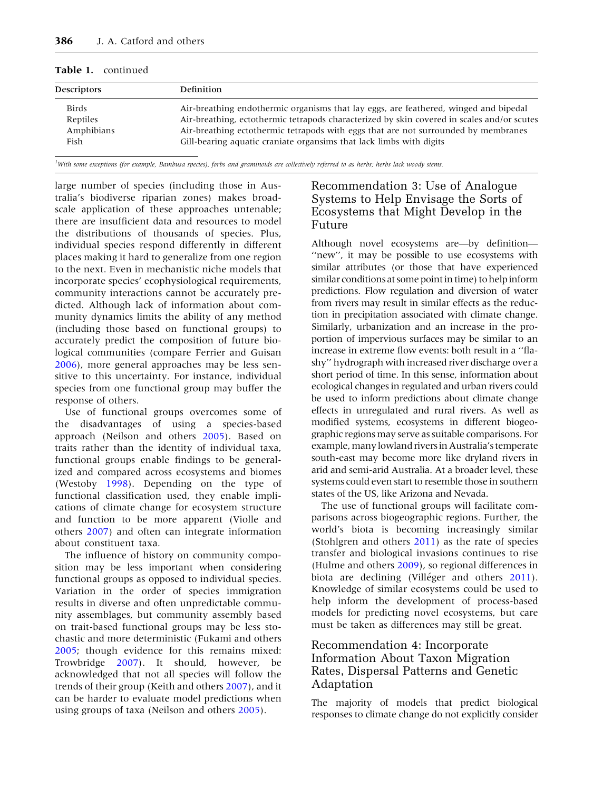| <b>Descriptors</b> | Definition                                                                                 |
|--------------------|--------------------------------------------------------------------------------------------|
| Birds              | Air-breathing endothermic organisms that lay eggs, are feathered, winged and bipedal       |
| Reptiles           | Air-breathing, ectothermic tetrapods characterized by skin covered in scales and/or scutes |
| Amphibians         | Air-breathing ectothermic tetrapods with eggs that are not surrounded by membranes         |
| Fish               | Gill-bearing aquatic craniate organsims that lack limbs with digits                        |

Table 1. continued

<sup>1</sup>With some exceptions (for example, Bambusa species), forbs and graminoids are collectively referred to as herbs; herbs lack woody stems.

large number of species (including those in Australia's biodiverse riparian zones) makes broadscale application of these approaches untenable; there are insufficient data and resources to model the distributions of thousands of species. Plus, individual species respond differently in different places making it hard to generalize from one region to the next. Even in mechanistic niche models that incorporate species' ecophysiological requirements, community interactions cannot be accurately predicted. Although lack of information about community dynamics limits the ability of any method (including those based on functional groups) to accurately predict the composition of future biological communities (compare Ferrier and Guisan [2006\)](#page-16-0), more general approaches may be less sensitive to this uncertainty. For instance, individual species from one functional group may buffer the response of others.

Use of functional groups overcomes some of the disadvantages of using a species-based approach (Neilson and others [2005\)](#page-17-0). Based on traits rather than the identity of individual taxa, functional groups enable findings to be generalized and compared across ecosystems and biomes (Westoby [1998](#page-18-0)). Depending on the type of functional classification used, they enable implications of climate change for ecosystem structure and function to be more apparent (Violle and others [2007\)](#page-17-0) and often can integrate information about constituent taxa.

The influence of history on community composition may be less important when considering functional groups as opposed to individual species. Variation in the order of species immigration results in diverse and often unpredictable community assemblages, but community assembly based on trait-based functional groups may be less stochastic and more deterministic (Fukami and others [2005;](#page-16-0) though evidence for this remains mixed: Trowbridge [2007\)](#page-17-0). It should, however, be acknowledged that not all species will follow the trends of their group (Keith and others [2007](#page-16-0)), and it can be harder to evaluate model predictions when using groups of taxa (Neilson and others [2005\)](#page-17-0).

#### Recommendation 3: Use of Analogue Systems to Help Envisage the Sorts of Ecosystems that Might Develop in the Future

Although novel ecosystems are—by definition— "new", it may be possible to use ecosystems with similar attributes (or those that have experienced similar conditions at some point in time) to help inform predictions. Flow regulation and diversion of water from rivers may result in similar effects as the reduction in precipitation associated with climate change. Similarly, urbanization and an increase in the proportion of impervious surfaces may be similar to an increase in extreme flow events: both result in a ''flashy'' hydrograph with increased river discharge over a short period of time. In this sense, information about ecological changes in regulated and urban rivers could be used to inform predictions about climate change effects in unregulated and rural rivers. As well as modified systems, ecosystems in different biogeographic regions may serve as suitable comparisons. For example, many lowland rivers in Australia's temperate south-east may become more like dryland rivers in arid and semi-arid Australia. At a broader level, these systems could even start to resemble those in southern states of the US, like Arizona and Nevada.

The use of functional groups will facilitate comparisons across biogeographic regions. Further, the world's biota is becoming increasingly similar (Stohlgren and others [2011\)](#page-17-0) as the rate of species transfer and biological invasions continues to rise (Hulme and others [2009\)](#page-16-0), so regional differences in biota are declining (Villéger and others [2011](#page-17-0)). Knowledge of similar ecosystems could be used to help inform the development of process-based models for predicting novel ecosystems, but care must be taken as differences may still be great.

#### Recommendation 4: Incorporate Information About Taxon Migration Rates, Dispersal Patterns and Genetic Adaptation

The majority of models that predict biological responses to climate change do not explicitly consider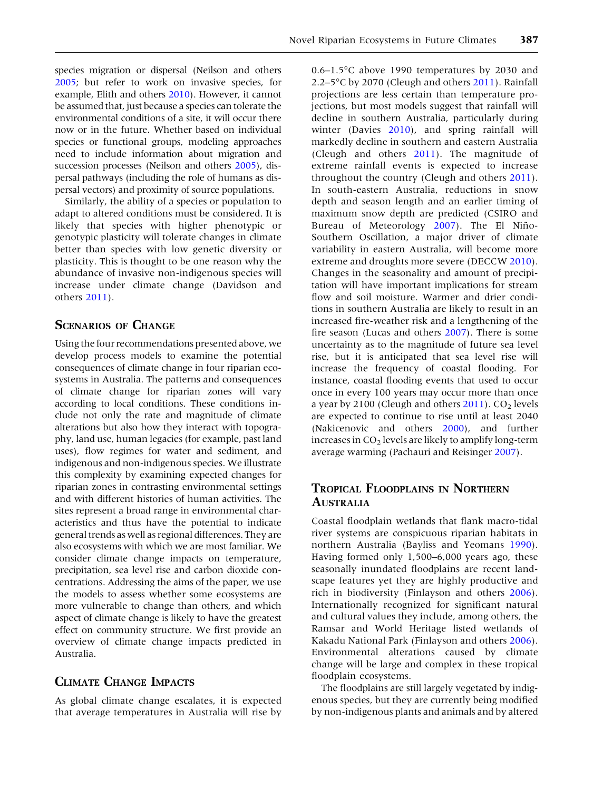species migration or dispersal (Neilson and others [2005](#page-17-0); but refer to work on invasive species, for example, Elith and others [2010](#page-16-0)). However, it cannot be assumed that, just because a species can tolerate the environmental conditions of a site, it will occur there now or in the future. Whether based on individual species or functional groups, modeling approaches need to include information about migration and succession processes (Neilson and others [2005\)](#page-17-0), dispersal pathways (including the role of humans as dispersal vectors) and proximity of source populations.

Similarly, the ability of a species or population to adapt to altered conditions must be considered. It is likely that species with higher phenotypic or genotypic plasticity will tolerate changes in climate better than species with low genetic diversity or plasticity. This is thought to be one reason why the abundance of invasive non-indigenous species will increase under climate change (Davidson and others [2011\)](#page-15-0).

#### SCENARIOS OF CHANGE

Using the four recommendations presented above, we develop process models to examine the potential consequences of climate change in four riparian ecosystems in Australia. The patterns and consequences of climate change for riparian zones will vary according to local conditions. These conditions include not only the rate and magnitude of climate alterations but also how they interact with topography, land use, human legacies (for example, past land uses), flow regimes for water and sediment, and indigenous and non-indigenous species. We illustrate this complexity by examining expected changes for riparian zones in contrasting environmental settings and with different histories of human activities. The sites represent a broad range in environmental characteristics and thus have the potential to indicate general trends as well as regional differences. They are also ecosystems with which we are most familiar. We consider climate change impacts on temperature, precipitation, sea level rise and carbon dioxide concentrations. Addressing the aims of the paper, we use the models to assess whether some ecosystems are more vulnerable to change than others, and which aspect of climate change is likely to have the greatest effect on community structure. We first provide an overview of climate change impacts predicted in Australia.

#### CLIMATE CHANGE IMPACTS

As global climate change escalates, it is expected that average temperatures in Australia will rise by

0.6–1.5°C above 1990 temperatures by 2030 and 2.2–5 $\degree$ C by 2070 (Cleugh and others [2011\)](#page-15-0). Rainfall projections are less certain than temperature projections, but most models suggest that rainfall will decline in southern Australia, particularly during winter (Davies [2010](#page-15-0)), and spring rainfall will markedly decline in southern and eastern Australia (Cleugh and others [2011\)](#page-15-0). The magnitude of extreme rainfall events is expected to increase throughout the country (Cleugh and others [2011](#page-15-0)). In south-eastern Australia, reductions in snow depth and season length and an earlier timing of maximum snow depth are predicted (CSIRO and Bureau of Meteorology [2007\)](#page-15-0). The El Niño-Southern Oscillation, a major driver of climate variability in eastern Australia, will become more extreme and droughts more severe (DECCW [2010](#page-15-0)). Changes in the seasonality and amount of precipitation will have important implications for stream flow and soil moisture. Warmer and drier conditions in southern Australia are likely to result in an increased fire-weather risk and a lengthening of the fire season (Lucas and others [2007](#page-16-0)). There is some uncertainty as to the magnitude of future sea level rise, but it is anticipated that sea level rise will increase the frequency of coastal flooding. For instance, coastal flooding events that used to occur once in every 100 years may occur more than once a year by 2100 (Cleugh and others  $2011$ ).  $CO<sub>2</sub>$  levels are expected to continue to rise until at least 2040 (Nakicenovic and others [2000\)](#page-17-0), and further increases in  $CO<sub>2</sub>$  levels are likely to amplify long-term average warming (Pachauri and Reisinger [2007\)](#page-17-0).

## TROPICAL FLOODPLAINS IN NORTHERN AUSTRALIA

Coastal floodplain wetlands that flank macro-tidal river systems are conspicuous riparian habitats in northern Australia (Bayliss and Yeomans [1990](#page-15-0)). Having formed only 1,500–6,000 years ago, these seasonally inundated floodplains are recent landscape features yet they are highly productive and rich in biodiversity (Finlayson and others [2006](#page-16-0)). Internationally recognized for significant natural and cultural values they include, among others, the Ramsar and World Heritage listed wetlands of Kakadu National Park (Finlayson and others [2006](#page-16-0)). Environmental alterations caused by climate change will be large and complex in these tropical floodplain ecosystems.

The floodplains are still largely vegetated by indigenous species, but they are currently being modified by non-indigenous plants and animals and by altered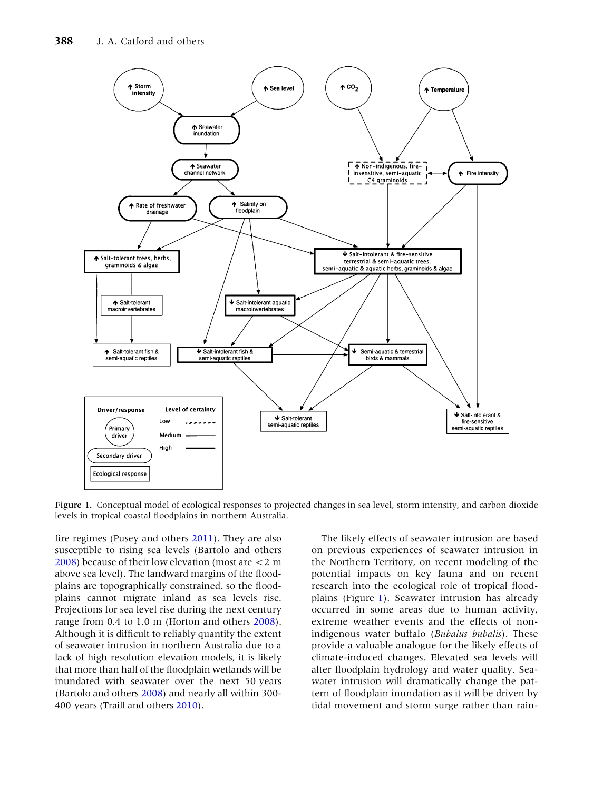<span id="page-6-0"></span>

Figure 1. Conceptual model of ecological responses to projected changes in sea level, storm intensity, and carbon dioxide levels in tropical coastal floodplains in northern Australia.

fire regimes (Pusey and others [2011\)](#page-17-0). They are also susceptible to rising sea levels (Bartolo and others [2008\)](#page-15-0) because of their low elevation (most are <2 m above sea level). The landward margins of the floodplains are topographically constrained, so the floodplains cannot migrate inland as sea levels rise. Projections for sea level rise during the next century range from 0.4 to 1.0 m (Horton and others [2008\)](#page-16-0). Although it is difficult to reliably quantify the extent of seawater intrusion in northern Australia due to a lack of high resolution elevation models, it is likely that more than half of the floodplain wetlands will be inundated with seawater over the next 50 years (Bartolo and others [2008\)](#page-15-0) and nearly all within 300- 400 years (Traill and others [2010\)](#page-17-0).

The likely effects of seawater intrusion are based on previous experiences of seawater intrusion in the Northern Territory, on recent modeling of the potential impacts on key fauna and on recent research into the ecological role of tropical floodplains (Figure 1). Seawater intrusion has already occurred in some areas due to human activity, extreme weather events and the effects of nonindigenous water buffalo (Bubalus bubalis). These provide a valuable analogue for the likely effects of climate-induced changes. Elevated sea levels will alter floodplain hydrology and water quality. Seawater intrusion will dramatically change the pattern of floodplain inundation as it will be driven by tidal movement and storm surge rather than rain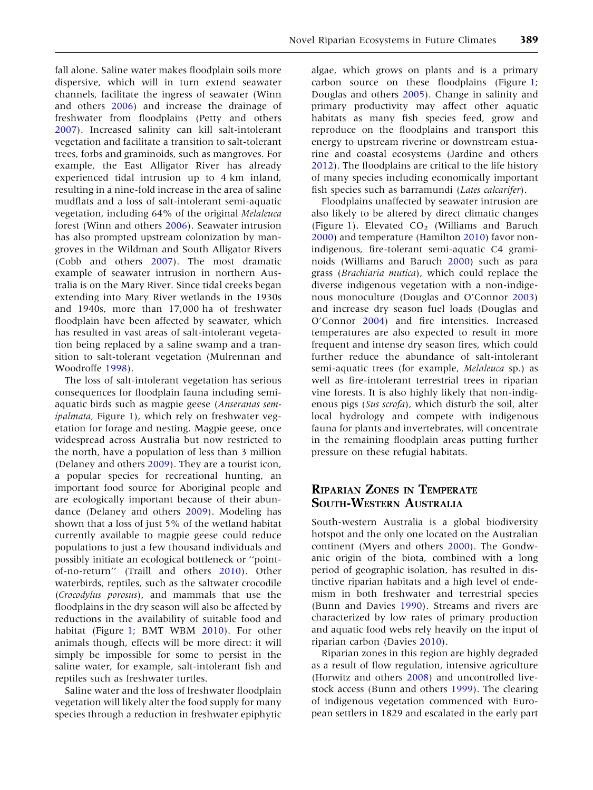fall alone. Saline water makes floodplain soils more dispersive, which will in turn extend seawater channels, facilitate the ingress of seawater (Winn and others [2006\)](#page-18-0) and increase the drainage of freshwater from floodplains (Petty and others [2007\)](#page-17-0). Increased salinity can kill salt-intolerant vegetation and facilitate a transition to salt-tolerant trees, forbs and graminoids, such as mangroves. For example, the East Alligator River has already experienced tidal intrusion up to 4 km inland, resulting in a nine-fold increase in the area of saline mudflats and a loss of salt-intolerant semi-aquatic vegetation, including 64% of the original Melaleuca forest (Winn and others [2006\)](#page-18-0). Seawater intrusion has also prompted upstream colonization by mangroves in the Wildman and South Alligator Rivers (Cobb and others [2007](#page-15-0)). The most dramatic example of seawater intrusion in northern Australia is on the Mary River. Since tidal creeks began extending into Mary River wetlands in the 1930s and 1940s, more than 17,000 ha of freshwater floodplain have been affected by seawater, which has resulted in vast areas of salt-intolerant vegetation being replaced by a saline swamp and a transition to salt-tolerant vegetation (Mulrennan and Woodroffe [1998](#page-17-0)).

The loss of salt-intolerant vegetation has serious consequences for floodplain fauna including semiaquatic birds such as magpie geese (Anseranas sem-ipalmata, Figure [1](#page-6-0)), which rely on freshwater vegetation for forage and nesting. Magpie geese, once widespread across Australia but now restricted to the north, have a population of less than 3 million (Delaney and others [2009](#page-16-0)). They are a tourist icon, a popular species for recreational hunting, an important food source for Aboriginal people and are ecologically important because of their abundance (Delaney and others [2009](#page-16-0)). Modeling has shown that a loss of just 5% of the wetland habitat currently available to magpie geese could reduce populations to just a few thousand individuals and possibly initiate an ecological bottleneck or ''pointof-no-return'' (Traill and others [2010\)](#page-17-0). Other waterbirds, reptiles, such as the saltwater crocodile (Crocodylus porosus), and mammals that use the floodplains in the dry season will also be affected by reductions in the availability of suitable food and habitat (Figure [1](#page-6-0); BMT WBM [2010](#page-15-0)). For other animals though, effects will be more direct: it will simply be impossible for some to persist in the saline water, for example, salt-intolerant fish and reptiles such as freshwater turtles.

Saline water and the loss of freshwater floodplain vegetation will likely alter the food supply for many species through a reduction in freshwater epiphytic

algae, which grows on plants and is a primary carbon source on these floodplains (Figure [1](#page-6-0); Douglas and others [2005](#page-16-0)). Change in salinity and primary productivity may affect other aquatic habitats as many fish species feed, grow and reproduce on the floodplains and transport this energy to upstream riverine or downstream estuarine and coastal ecosystems (Jardine and others [2012\)](#page-16-0). The floodplains are critical to the life history of many species including economically important fish species such as barramundi (Lates calcarifer).

Floodplains unaffected by seawater intrusion are also likely to be altered by direct climatic changes (Figure [1\)](#page-6-0). Elevated  $CO<sub>2</sub>$  (Williams and Baruch [2000\)](#page-18-0) and temperature (Hamilton [2010](#page-16-0)) favor nonindigenous, fire-tolerant semi-aquatic C4 graminoids (Williams and Baruch [2000\)](#page-18-0) such as para grass (Brachiaria mutica), which could replace the diverse indigenous vegetation with a non-indigenous monoculture (Douglas and O'Connor [2003](#page-16-0)) and increase dry season fuel loads (Douglas and O'Connor [2004](#page-16-0)) and fire intensities. Increased temperatures are also expected to result in more frequent and intense dry season fires, which could further reduce the abundance of salt-intolerant semi-aquatic trees (for example, Melaleuca sp.) as well as fire-intolerant terrestrial trees in riparian vine forests. It is also highly likely that non-indigenous pigs (Sus scrofa), which disturb the soil, alter local hydrology and compete with indigenous fauna for plants and invertebrates, will concentrate in the remaining floodplain areas putting further pressure on these refugial habitats.

# RIPARIAN ZONES IN TEMPERATE SOUTH-WESTERN AUSTRALIA

South-western Australia is a global biodiversity hotspot and the only one located on the Australian continent (Myers and others [2000](#page-17-0)). The Gondwanic origin of the biota, combined with a long period of geographic isolation, has resulted in distinctive riparian habitats and a high level of endemism in both freshwater and terrestrial species (Bunn and Davies [1990\)](#page-15-0). Streams and rivers are characterized by low rates of primary production and aquatic food webs rely heavily on the input of riparian carbon (Davies [2010](#page-15-0)).

Riparian zones in this region are highly degraded as a result of flow regulation, intensive agriculture (Horwitz and others [2008](#page-16-0)) and uncontrolled livestock access (Bunn and others [1999\)](#page-15-0). The clearing of indigenous vegetation commenced with European settlers in 1829 and escalated in the early part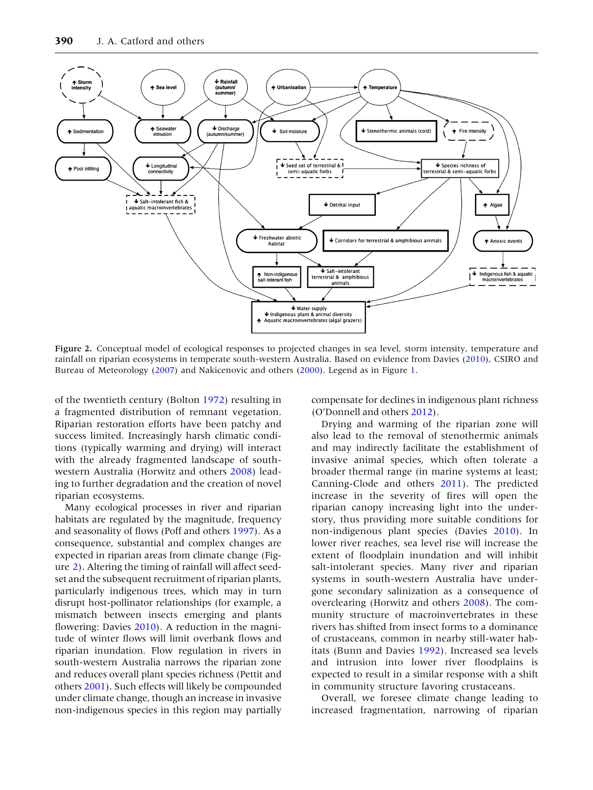<span id="page-8-0"></span>

Figure 2. Conceptual model of ecological responses to projected changes in sea level, storm intensity, temperature and rainfall on riparian ecosystems in temperate south-western Australia. Based on evidence from Davies [\(2010](#page-15-0)), CSIRO and Bureau of Meteorology [\(2007\)](#page-15-0) and Nakicenovic and others [\(2000](#page-17-0)). Legend as in Figure [1](#page-6-0).

of the twentieth century (Bolton [1972\)](#page-15-0) resulting in a fragmented distribution of remnant vegetation. Riparian restoration efforts have been patchy and success limited. Increasingly harsh climatic conditions (typically warming and drying) will interact with the already fragmented landscape of southwestern Australia (Horwitz and others [2008\)](#page-16-0) leading to further degradation and the creation of novel riparian ecosystems.

Many ecological processes in river and riparian habitats are regulated by the magnitude, frequency and seasonality of flows (Poff and others [1997\)](#page-17-0). As a consequence, substantial and complex changes are expected in riparian areas from climate change (Figure 2). Altering the timing of rainfall will affect seedset and the subsequent recruitment of riparian plants, particularly indigenous trees, which may in turn disrupt host-pollinator relationships (for example, a mismatch between insects emerging and plants flowering: Davies [2010](#page-15-0)). A reduction in the magnitude of winter flows will limit overbank flows and riparian inundation. Flow regulation in rivers in south-western Australia narrows the riparian zone and reduces overall plant species richness (Pettit and others [2001\)](#page-17-0). Such effects will likely be compounded under climate change, though an increase in invasive non-indigenous species in this region may partially compensate for declines in indigenous plant richness (O'Donnell and others [2012](#page-17-0)).

Drying and warming of the riparian zone will also lead to the removal of stenothermic animals and may indirectly facilitate the establishment of invasive animal species, which often tolerate a broader thermal range (in marine systems at least; Canning-Clode and others [2011](#page-15-0)). The predicted increase in the severity of fires will open the riparian canopy increasing light into the understory, thus providing more suitable conditions for non-indigenous plant species (Davies [2010\)](#page-15-0). In lower river reaches, sea level rise will increase the extent of floodplain inundation and will inhibit salt-intolerant species. Many river and riparian systems in south-western Australia have undergone secondary salinization as a consequence of overclearing (Horwitz and others [2008](#page-16-0)). The community structure of macroinvertebrates in these rivers has shifted from insect forms to a dominance of crustaceans, common in nearby still-water habitats (Bunn and Davies [1992](#page-15-0)). Increased sea levels and intrusion into lower river floodplains is expected to result in a similar response with a shift in community structure favoring crustaceans.

Overall, we foresee climate change leading to increased fragmentation, narrowing of riparian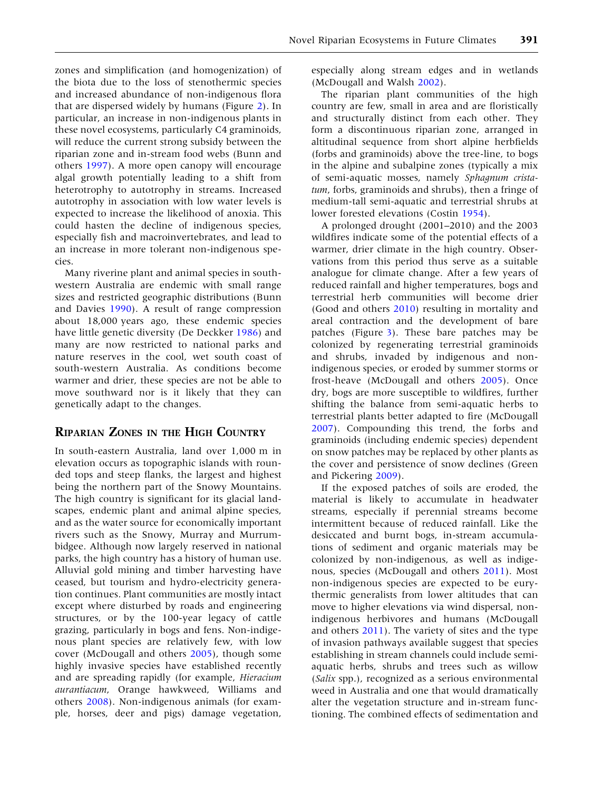zones and simplification (and homogenization) of the biota due to the loss of stenothermic species and increased abundance of non-indigenous flora that are dispersed widely by humans (Figure [2\)](#page-8-0). In particular, an increase in non-indigenous plants in these novel ecosystems, particularly C4 graminoids, will reduce the current strong subsidy between the riparian zone and in-stream food webs (Bunn and others [1997\)](#page-15-0). A more open canopy will encourage algal growth potentially leading to a shift from heterotrophy to autotrophy in streams. Increased autotrophy in association with low water levels is expected to increase the likelihood of anoxia. This could hasten the decline of indigenous species, especially fish and macroinvertebrates, and lead to an increase in more tolerant non-indigenous species.

Many riverine plant and animal species in southwestern Australia are endemic with small range sizes and restricted geographic distributions (Bunn and Davies [1990\)](#page-15-0). A result of range compression about 18,000 years ago, these endemic species have little genetic diversity (De Deckker [1986\)](#page-15-0) and many are now restricted to national parks and nature reserves in the cool, wet south coast of south-western Australia. As conditions become warmer and drier, these species are not be able to move southward nor is it likely that they can genetically adapt to the changes.

#### RIPARIAN ZONES IN THE HIGH COUNTRY

In south-eastern Australia, land over 1,000 m in elevation occurs as topographic islands with rounded tops and steep flanks, the largest and highest being the northern part of the Snowy Mountains. The high country is significant for its glacial landscapes, endemic plant and animal alpine species, and as the water source for economically important rivers such as the Snowy, Murray and Murrumbidgee. Although now largely reserved in national parks, the high country has a history of human use. Alluvial gold mining and timber harvesting have ceased, but tourism and hydro-electricity generation continues. Plant communities are mostly intact except where disturbed by roads and engineering structures, or by the 100-year legacy of cattle grazing, particularly in bogs and fens. Non-indigenous plant species are relatively few, with low cover (McDougall and others [2005\)](#page-16-0), though some highly invasive species have established recently and are spreading rapidly (for example, Hieracium aurantiacum, Orange hawkweed, Williams and others [2008\)](#page-18-0). Non-indigenous animals (for example, horses, deer and pigs) damage vegetation,

especially along stream edges and in wetlands (McDougall and Walsh [2002\)](#page-16-0).

The riparian plant communities of the high country are few, small in area and are floristically and structurally distinct from each other. They form a discontinuous riparian zone, arranged in altitudinal sequence from short alpine herbfields (forbs and graminoids) above the tree-line, to bogs in the alpine and subalpine zones (typically a mix of semi-aquatic mosses, namely Sphagnum cristatum, forbs, graminoids and shrubs), then a fringe of medium-tall semi-aquatic and terrestrial shrubs at lower forested elevations (Costin [1954\)](#page-15-0).

A prolonged drought (2001–2010) and the 2003 wildfires indicate some of the potential effects of a warmer, drier climate in the high country. Observations from this period thus serve as a suitable analogue for climate change. After a few years of reduced rainfall and higher temperatures, bogs and terrestrial herb communities will become drier (Good and others [2010](#page-16-0)) resulting in mortality and areal contraction and the development of bare patches (Figure [3\)](#page-10-0). These bare patches may be colonized by regenerating terrestrial graminoids and shrubs, invaded by indigenous and nonindigenous species, or eroded by summer storms or frost-heave (McDougall and others [2005](#page-16-0)). Once dry, bogs are more susceptible to wildfires, further shifting the balance from semi-aquatic herbs to terrestrial plants better adapted to fire (McDougall [2007\)](#page-16-0). Compounding this trend, the forbs and graminoids (including endemic species) dependent on snow patches may be replaced by other plants as the cover and persistence of snow declines (Green and Pickering [2009](#page-16-0)).

If the exposed patches of soils are eroded, the material is likely to accumulate in headwater streams, especially if perennial streams become intermittent because of reduced rainfall. Like the desiccated and burnt bogs, in-stream accumulations of sediment and organic materials may be colonized by non-indigenous, as well as indigenous, species (McDougall and others [2011](#page-16-0)). Most non-indigenous species are expected to be eurythermic generalists from lower altitudes that can move to higher elevations via wind dispersal, nonindigenous herbivores and humans (McDougall and others [2011\)](#page-16-0). The variety of sites and the type of invasion pathways available suggest that species establishing in stream channels could include semiaquatic herbs, shrubs and trees such as willow (Salix spp.), recognized as a serious environmental weed in Australia and one that would dramatically alter the vegetation structure and in-stream functioning. The combined effects of sedimentation and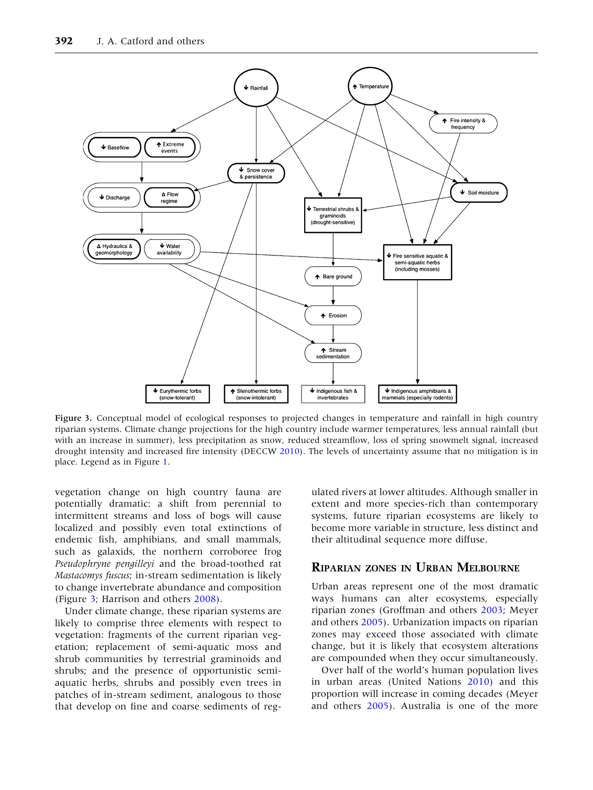<span id="page-10-0"></span>

Figure 3. Conceptual model of ecological responses to projected changes in temperature and rainfall in high country riparian systems. Climate change projections for the high country include warmer temperatures, less annual rainfall (but with an increase in summer), less precipitation as snow, reduced streamflow, loss of spring snowmelt signal, increased drought intensity and increased fire intensity (DECCW [2010](#page-15-0)). The levels of uncertainty assume that no mitigation is in place. Legend as in Figure [1.](#page-6-0)

vegetation change on high country fauna are potentially dramatic: a shift from perennial to intermittent streams and loss of bogs will cause localized and possibly even total extinctions of endemic fish, amphibians, and small mammals, such as galaxids, the northern corroboree frog Pseudophryne pengilleyi and the broad-toothed rat Mastacomys fuscus; in-stream sedimentation is likely to change invertebrate abundance and composition (Figure 3; Harrison and others [2008](#page-16-0)).

Under climate change, these riparian systems are likely to comprise three elements with respect to vegetation: fragments of the current riparian vegetation; replacement of semi-aquatic moss and shrub communities by terrestrial graminoids and shrubs; and the presence of opportunistic semiaquatic herbs, shrubs and possibly even trees in patches of in-stream sediment, analogous to those that develop on fine and coarse sediments of reg-

ulated rivers at lower altitudes. Although smaller in extent and more species-rich than contemporary systems, future riparian ecosystems are likely to become more variable in structure, less distinct and their altitudinal sequence more diffuse.

#### RIPARIAN ZONES IN URBAN MELBOURNE

Urban areas represent one of the most dramatic ways humans can alter ecosystems, especially riparian zones (Groffman and others [2003;](#page-16-0) Meyer and others [2005\)](#page-16-0). Urbanization impacts on riparian zones may exceed those associated with climate change, but it is likely that ecosystem alterations are compounded when they occur simultaneously.

Over half of the world's human population lives in urban areas (United Nations [2010](#page-17-0)) and this proportion will increase in coming decades (Meyer and others [2005](#page-16-0)). Australia is one of the more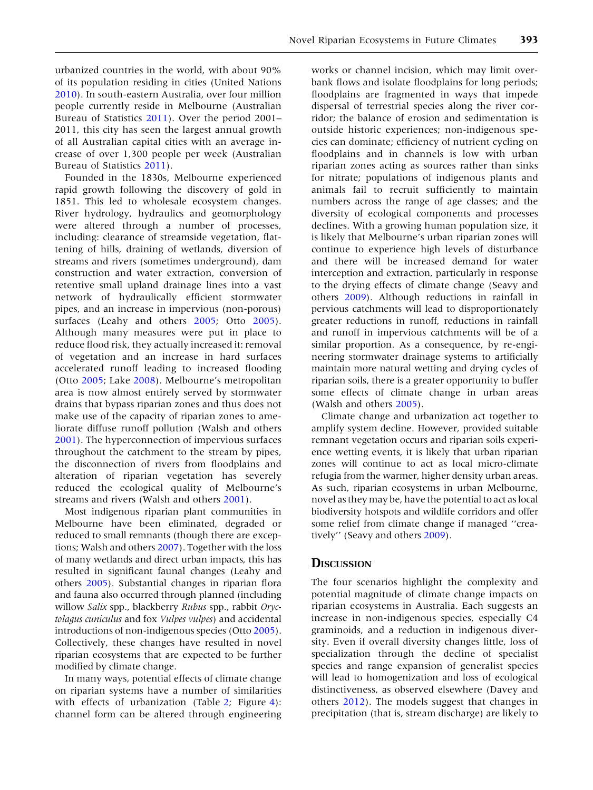urbanized countries in the world, with about 90% of its population residing in cities (United Nations [2010\)](#page-17-0). In south-eastern Australia, over four million people currently reside in Melbourne (Australian Bureau of Statistics [2011](#page-15-0)). Over the period 2001– 2011, this city has seen the largest annual growth of all Australian capital cities with an average increase of over 1,300 people per week (Australian Bureau of Statistics [2011\)](#page-15-0).

Founded in the 1830s, Melbourne experienced rapid growth following the discovery of gold in 1851. This led to wholesale ecosystem changes. River hydrology, hydraulics and geomorphology were altered through a number of processes, including: clearance of streamside vegetation, flattening of hills, draining of wetlands, diversion of streams and rivers (sometimes underground), dam construction and water extraction, conversion of retentive small upland drainage lines into a vast network of hydraulically efficient stormwater pipes, and an increase in impervious (non-porous) surfaces (Leahy and others [2005](#page-17-0); Otto 2005). Although many measures were put in place to reduce flood risk, they actually increased it: removal of vegetation and an increase in hard surfaces accelerated runoff leading to increased flooding (Otto [2005;](#page-17-0) Lake [2008\)](#page-16-0). Melbourne's metropolitan area is now almost entirely served by stormwater drains that bypass riparian zones and thus does not make use of the capacity of riparian zones to ameliorate diffuse runoff pollution (Walsh and others [2001\)](#page-17-0). The hyperconnection of impervious surfaces throughout the catchment to the stream by pipes, the disconnection of rivers from floodplains and alteration of riparian vegetation has severely reduced the ecological quality of Melbourne's streams and rivers (Walsh and others [2001\)](#page-17-0).

Most indigenous riparian plant communities in Melbourne have been eliminated, degraded or reduced to small remnants (though there are exceptions; Walsh and others [2007](#page-17-0)). Together with the loss of many wetlands and direct urban impacts, this has resulted in significant faunal changes (Leahy and others [2005\)](#page-16-0). Substantial changes in riparian flora and fauna also occurred through planned (including willow Salix spp., blackberry Rubus spp., rabbit Oryctolagus cuniculus and fox Vulpes vulpes) and accidental introductions of non-indigenous species (Otto [2005\)](#page-17-0). Collectively, these changes have resulted in novel riparian ecosystems that are expected to be further modified by climate change.

In many ways, potential effects of climate change on riparian systems have a number of similarities with effects of urbanization (Table [2](#page-12-0); Figure [4](#page-14-0)): channel form can be altered through engineering

works or channel incision, which may limit overbank flows and isolate floodplains for long periods; floodplains are fragmented in ways that impede dispersal of terrestrial species along the river corridor; the balance of erosion and sedimentation is outside historic experiences; non-indigenous species can dominate; efficiency of nutrient cycling on floodplains and in channels is low with urban riparian zones acting as sources rather than sinks for nitrate; populations of indigenous plants and animals fail to recruit sufficiently to maintain numbers across the range of age classes; and the diversity of ecological components and processes declines. With a growing human population size, it is likely that Melbourne's urban riparian zones will continue to experience high levels of disturbance and there will be increased demand for water interception and extraction, particularly in response to the drying effects of climate change (Seavy and others [2009\)](#page-17-0). Although reductions in rainfall in pervious catchments will lead to disproportionately greater reductions in runoff, reductions in rainfall and runoff in impervious catchments will be of a similar proportion. As a consequence, by re-engineering stormwater drainage systems to artificially maintain more natural wetting and drying cycles of riparian soils, there is a greater opportunity to buffer some effects of climate change in urban areas (Walsh and others [2005\)](#page-17-0).

Climate change and urbanization act together to amplify system decline. However, provided suitable remnant vegetation occurs and riparian soils experience wetting events, it is likely that urban riparian zones will continue to act as local micro-climate refugia from the warmer, higher density urban areas. As such, riparian ecosystems in urban Melbourne, novel as they may be, have the potential to act as local biodiversity hotspots and wildlife corridors and offer some relief from climate change if managed ''creatively'' (Seavy and others [2009](#page-17-0)).

#### **D**ISCUSSION

The four scenarios highlight the complexity and potential magnitude of climate change impacts on riparian ecosystems in Australia. Each suggests an increase in non-indigenous species, especially C4 graminoids, and a reduction in indigenous diversity. Even if overall diversity changes little, loss of specialization through the decline of specialist species and range expansion of generalist species will lead to homogenization and loss of ecological distinctiveness, as observed elsewhere (Davey and others [2012\)](#page-15-0). The models suggest that changes in precipitation (that is, stream discharge) are likely to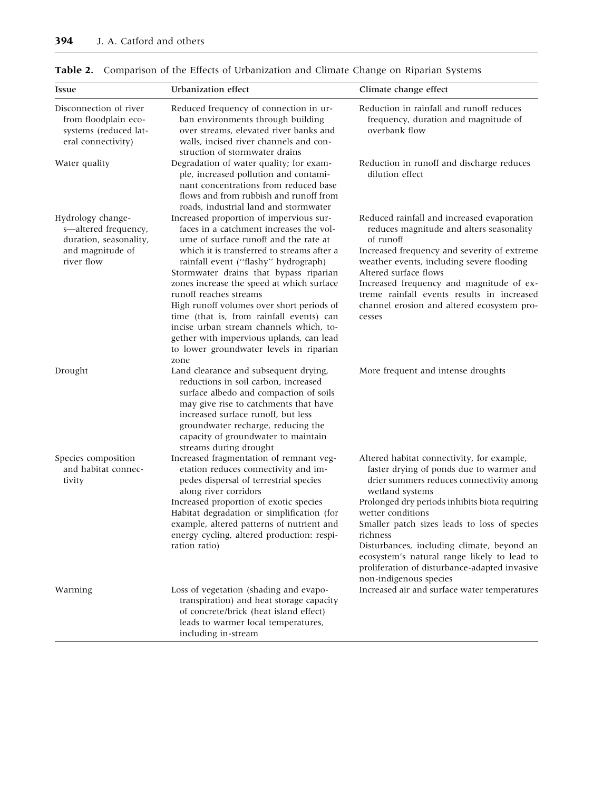| Issue                                                                                                 | Urbanization effect                                                                                                                                                                                                                                                                                                                                                                                                                                                                                                                                                   | Climate change effect                                                                                                                                                                                                                                                                                                                                                                                                                                            |
|-------------------------------------------------------------------------------------------------------|-----------------------------------------------------------------------------------------------------------------------------------------------------------------------------------------------------------------------------------------------------------------------------------------------------------------------------------------------------------------------------------------------------------------------------------------------------------------------------------------------------------------------------------------------------------------------|------------------------------------------------------------------------------------------------------------------------------------------------------------------------------------------------------------------------------------------------------------------------------------------------------------------------------------------------------------------------------------------------------------------------------------------------------------------|
| Disconnection of river<br>from floodplain eco-<br>systems (reduced lat-<br>eral connectivity)         | Reduced frequency of connection in ur-<br>ban environments through building<br>over streams, elevated river banks and<br>walls, incised river channels and con-<br>struction of stormwater drains                                                                                                                                                                                                                                                                                                                                                                     | Reduction in rainfall and runoff reduces<br>frequency, duration and magnitude of<br>overbank flow                                                                                                                                                                                                                                                                                                                                                                |
| Water quality                                                                                         | Degradation of water quality; for exam-<br>ple, increased pollution and contami-<br>nant concentrations from reduced base<br>flows and from rubbish and runoff from<br>roads, industrial land and stormwater                                                                                                                                                                                                                                                                                                                                                          | Reduction in runoff and discharge reduces<br>dilution effect                                                                                                                                                                                                                                                                                                                                                                                                     |
| Hydrology change-<br>s-altered frequency,<br>duration, seasonality,<br>and magnitude of<br>river flow | Increased proportion of impervious sur-<br>faces in a catchment increases the vol-<br>ume of surface runoff and the rate at<br>which it is transferred to streams after a<br>rainfall event ("flashy" hydrograph)<br>Stormwater drains that bypass riparian<br>zones increase the speed at which surface<br>runoff reaches streams<br>High runoff volumes over short periods of<br>time (that is, from rainfall events) can<br>incise urban stream channels which, to-<br>gether with impervious uplands, can lead<br>to lower groundwater levels in riparian<br>zone | Reduced rainfall and increased evaporation<br>reduces magnitude and alters seasonality<br>of runoff<br>Increased frequency and severity of extreme<br>weather events, including severe flooding<br>Altered surface flows<br>Increased frequency and magnitude of ex-<br>treme rainfall events results in increased<br>channel erosion and altered ecosystem pro-<br>cesses                                                                                       |
| Drought                                                                                               | Land clearance and subsequent drying,<br>reductions in soil carbon, increased<br>surface albedo and compaction of soils<br>may give rise to catchments that have<br>increased surface runoff, but less<br>groundwater recharge, reducing the<br>capacity of groundwater to maintain<br>streams during drought                                                                                                                                                                                                                                                         | More frequent and intense droughts                                                                                                                                                                                                                                                                                                                                                                                                                               |
| Species composition<br>and habitat connec-<br>tivity                                                  | Increased fragmentation of remnant veg-<br>etation reduces connectivity and im-<br>pedes dispersal of terrestrial species<br>along river corridors<br>Increased proportion of exotic species<br>Habitat degradation or simplification (for<br>example, altered patterns of nutrient and<br>energy cycling, altered production: respi-<br>ration ratio)                                                                                                                                                                                                                | Altered habitat connectivity, for example,<br>faster drying of ponds due to warmer and<br>drier summers reduces connectivity among<br>wetland systems<br>Prolonged dry periods inhibits biota requiring<br>wetter conditions<br>Smaller patch sizes leads to loss of species<br>richness<br>Disturbances, including climate, beyond an<br>ecosystem's natural range likely to lead to<br>proliferation of disturbance-adapted invasive<br>non-indigenous species |
| Warming                                                                                               | Loss of vegetation (shading and evapo-<br>transpiration) and heat storage capacity<br>of concrete/brick (heat island effect)<br>leads to warmer local temperatures,<br>including in-stream                                                                                                                                                                                                                                                                                                                                                                            | Increased air and surface water temperatures                                                                                                                                                                                                                                                                                                                                                                                                                     |

<span id="page-12-0"></span>Table 2. Comparison of the Effects of Urbanization and Climate Change on Riparian Systems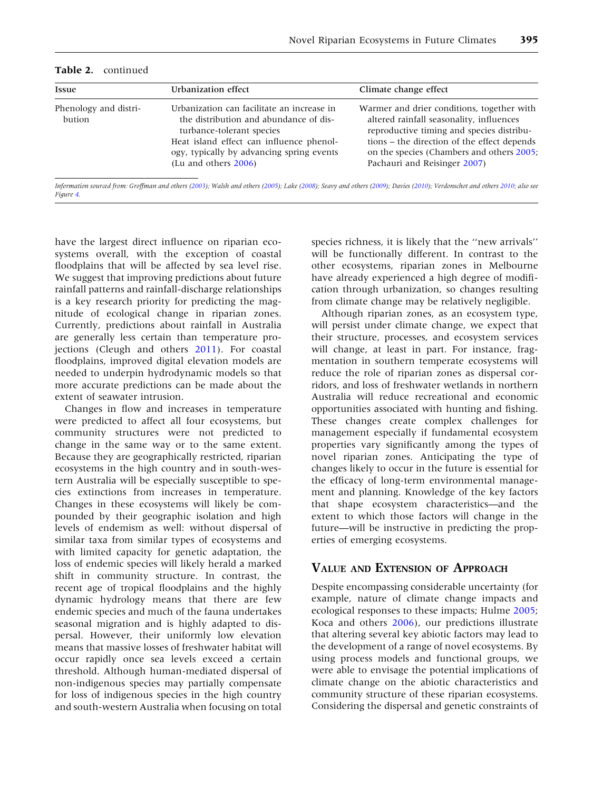| Issue                           | Urbanization effect                                                                                                                                                                                                                | Climate change effect                                                                                                                                                                                                                                           |
|---------------------------------|------------------------------------------------------------------------------------------------------------------------------------------------------------------------------------------------------------------------------------|-----------------------------------------------------------------------------------------------------------------------------------------------------------------------------------------------------------------------------------------------------------------|
| Phenology and distri-<br>bution | Urbanization can facilitate an increase in<br>the distribution and abundance of dis-<br>turbance-tolerant species<br>Heat island effect can influence phenol-<br>ogy, typically by advancing spring events<br>(Lu and others 2006) | Warmer and drier conditions, together with<br>altered rainfall seasonality, influences<br>reproductive timing and species distribu-<br>tions – the direction of the effect depends<br>on the species (Chambers and others 2005;<br>Pachauri and Reisinger 2007) |

Table 2. continued

Information sourced from: Groffman and others ([2003\)](#page-16-0); Walsh and others ([2005\)](#page-17-0); Lake ([2008\)](#page-16-0); Seavy and others ([2009\)](#page-17-0); Davies ([2010\)](#page-15-0); Verdonschot and others [2010](#page-17-0); also see Figure [4.](#page-14-0)

have the largest direct influence on riparian ecosystems overall, with the exception of coastal floodplains that will be affected by sea level rise. We suggest that improving predictions about future rainfall patterns and rainfall-discharge relationships is a key research priority for predicting the magnitude of ecological change in riparian zones. Currently, predictions about rainfall in Australia are generally less certain than temperature projections (Cleugh and others [2011](#page-15-0)). For coastal floodplains, improved digital elevation models are needed to underpin hydrodynamic models so that more accurate predictions can be made about the extent of seawater intrusion.

Changes in flow and increases in temperature were predicted to affect all four ecosystems, but community structures were not predicted to change in the same way or to the same extent. Because they are geographically restricted, riparian ecosystems in the high country and in south-western Australia will be especially susceptible to species extinctions from increases in temperature. Changes in these ecosystems will likely be compounded by their geographic isolation and high levels of endemism as well: without dispersal of similar taxa from similar types of ecosystems and with limited capacity for genetic adaptation, the loss of endemic species will likely herald a marked shift in community structure. In contrast, the recent age of tropical floodplains and the highly dynamic hydrology means that there are few endemic species and much of the fauna undertakes seasonal migration and is highly adapted to dispersal. However, their uniformly low elevation means that massive losses of freshwater habitat will occur rapidly once sea levels exceed a certain threshold. Although human-mediated dispersal of non-indigenous species may partially compensate for loss of indigenous species in the high country and south-western Australia when focusing on total species richness, it is likely that the ''new arrivals'' will be functionally different. In contrast to the other ecosystems, riparian zones in Melbourne have already experienced a high degree of modification through urbanization, so changes resulting from climate change may be relatively negligible.

Although riparian zones, as an ecosystem type, will persist under climate change, we expect that their structure, processes, and ecosystem services will change, at least in part. For instance, fragmentation in southern temperate ecosystems will reduce the role of riparian zones as dispersal corridors, and loss of freshwater wetlands in northern Australia will reduce recreational and economic opportunities associated with hunting and fishing. These changes create complex challenges for management especially if fundamental ecosystem properties vary significantly among the types of novel riparian zones. Anticipating the type of changes likely to occur in the future is essential for the efficacy of long-term environmental management and planning. Knowledge of the key factors that shape ecosystem characteristics—and the extent to which those factors will change in the future—will be instructive in predicting the properties of emerging ecosystems.

#### VALUE AND EXTENSION OF APPROACH

Despite encompassing considerable uncertainty (for example, nature of climate change impacts and ecological responses to these impacts; Hulme [2005](#page-16-0); Koca and others [2006\)](#page-16-0), our predictions illustrate that altering several key abiotic factors may lead to the development of a range of novel ecosystems. By using process models and functional groups, we were able to envisage the potential implications of climate change on the abiotic characteristics and community structure of these riparian ecosystems. Considering the dispersal and genetic constraints of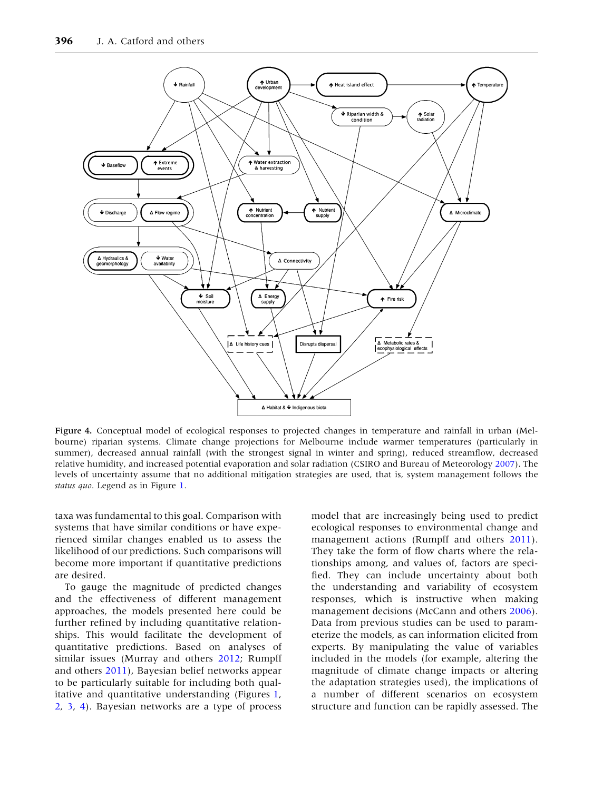<span id="page-14-0"></span>

Figure 4. Conceptual model of ecological responses to projected changes in temperature and rainfall in urban (Melbourne) riparian systems. Climate change projections for Melbourne include warmer temperatures (particularly in summer), decreased annual rainfall (with the strongest signal in winter and spring), reduced streamflow, decreased relative humidity, and increased potential evaporation and solar radiation (CSIRO and Bureau of Meteorology [2007\)](#page-15-0). The levels of uncertainty assume that no additional mitigation strategies are used, that is, system management follows the status quo. Legend as in Figure [1](#page-6-0).

taxa was fundamental to this goal. Comparison with systems that have similar conditions or have experienced similar changes enabled us to assess the likelihood of our predictions. Such comparisons will become more important if quantitative predictions are desired.

To gauge the magnitude of predicted changes and the effectiveness of different management approaches, the models presented here could be further refined by including quantitative relationships. This would facilitate the development of quantitative predictions. Based on analyses of similar issues (Murray and others [2012;](#page-17-0) Rumpff and others [2011\)](#page-17-0), Bayesian belief networks appear to be particularly suitable for including both qualitative and quantitative understanding (Figures [1](#page-6-0), [2](#page-8-0), [3](#page-10-0), 4). Bayesian networks are a type of process

model that are increasingly being used to predict ecological responses to environmental change and management actions (Rumpff and others [2011](#page-17-0)). They take the form of flow charts where the relationships among, and values of, factors are specified. They can include uncertainty about both the understanding and variability of ecosystem responses, which is instructive when making management decisions (McCann and others [2006](#page-16-0)). Data from previous studies can be used to parameterize the models, as can information elicited from experts. By manipulating the value of variables included in the models (for example, altering the magnitude of climate change impacts or altering the adaptation strategies used), the implications of a number of different scenarios on ecosystem structure and function can be rapidly assessed. The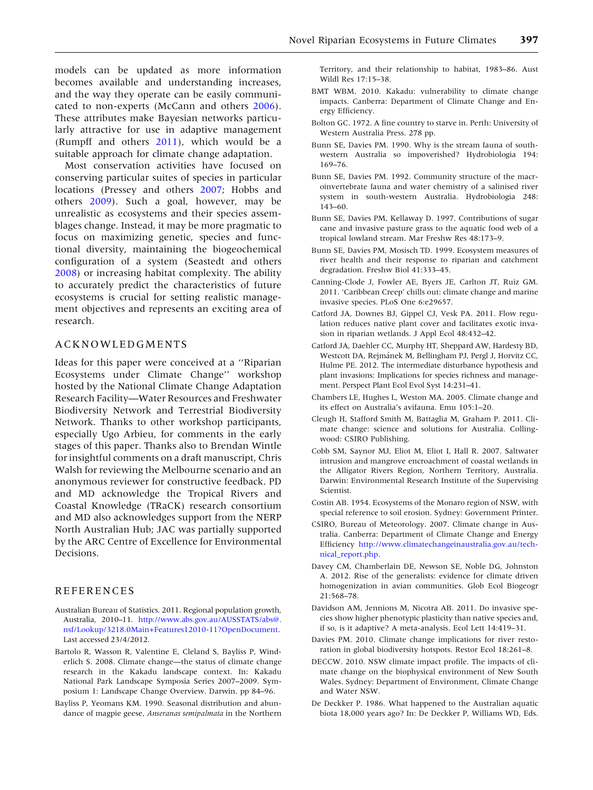<span id="page-15-0"></span>models can be updated as more information becomes available and understanding increases, and the way they operate can be easily communicated to non-experts (McCann and others [2006](#page-16-0)). These attributes make Bayesian networks particularly attractive for use in adaptive management (Rumpff and others [2011](#page-17-0)), which would be a suitable approach for climate change adaptation.

Most conservation activities have focused on conserving particular suites of species in particular locations (Pressey and others [2007;](#page-17-0) Hobbs and others [2009\)](#page-16-0). Such a goal, however, may be unrealistic as ecosystems and their species assemblages change. Instead, it may be more pragmatic to focus on maximizing genetic, species and functional diversity, maintaining the biogeochemical configuration of a system (Seastedt and others [2008\)](#page-17-0) or increasing habitat complexity. The ability to accurately predict the characteristics of future ecosystems is crucial for setting realistic management objectives and represents an exciting area of research.

#### ACKNOWLEDGMENTS

Ideas for this paper were conceived at a ''Riparian Ecosystems under Climate Change'' workshop hosted by the National Climate Change Adaptation Research Facility—Water Resources and Freshwater Biodiversity Network and Terrestrial Biodiversity Network. Thanks to other workshop participants, especially Ugo Arbieu, for comments in the early stages of this paper. Thanks also to Brendan Wintle for insightful comments on a draft manuscript, Chris Walsh for reviewing the Melbourne scenario and an anonymous reviewer for constructive feedback. PD and MD acknowledge the Tropical Rivers and Coastal Knowledge (TRaCK) research consortium and MD also acknowledges support from the NERP North Australian Hub; JAC was partially supported by the ARC Centre of Excellence for Environmental Decisions.

#### REFERENCES

- Australian Bureau of Statistics. 2011. Regional population growth, Australia, 2010–11. [http://www.abs.gov.au/AUSSTATS/abs@.](http://www.abs.gov.au/AUSSTATS/abs@.nsf/Lookup/3218.0Main+Features12010-11?OpenDocument) [nsf/Lookup/3218.0Main+Features12010-11?OpenDocument](http://www.abs.gov.au/AUSSTATS/abs@.nsf/Lookup/3218.0Main+Features12010-11?OpenDocument). Last accessed 23/4/2012.
- Bartolo R, Wasson R, Valentine E, Cleland S, Bayliss P, Winderlich S. 2008. Climate change—the status of climate change research in the Kakadu landscape context. In: Kakadu National Park Landscape Symposia Series 2007–2009. Symposium 1: Landscape Change Overview. Darwin. pp 84–96.
- Bayliss P, Yeomans KM. 1990. Seasonal distribution and abundance of magpie geese, Anseranas semipalmata in the Northern

Territory, and their relationship to habitat, 1983–86. Aust Wildl Res 17:15–38.

- BMT WBM. 2010. Kakadu: vulnerability to climate change impacts. Canberra: Department of Climate Change and Energy Efficiency.
- Bolton GC. 1972. A fine country to starve in. Perth: University of Western Australia Press. 278 pp.
- Bunn SE, Davies PM. 1990. Why is the stream fauna of southwestern Australia so impoverished? Hydrobiologia 194: 169–76.
- Bunn SE, Davies PM. 1992. Community structure of the macroinvertebrate fauna and water chemistry of a salinised river system in south-western Australia. Hydrobiologia 248: 143–60.
- Bunn SE, Davies PM, Kellaway D. 1997. Contributions of sugar cane and invasive pasture grass to the aquatic food web of a tropical lowland stream. Mar Freshw Res 48:173–9.
- Bunn SE, Davies PM, Mosisch TD. 1999. Ecosystem measures of river health and their response to riparian and catchment degradation. Freshw Biol 41:333–45.
- Canning-Clode J, Fowler AE, Byers JE, Carlton JT, Ruiz GM. 2011. 'Caribbean Creep' chills out: climate change and marine invasive species. PLoS One 6:e29657.
- Catford JA, Downes BJ, Gippel CJ, Vesk PA. 2011. Flow regulation reduces native plant cover and facilitates exotic invasion in riparian wetlands. J Appl Ecol 48:432–42.
- Catford JA, Daehler CC, Murphy HT, Sheppard AW, Hardesty BD, Westcott DA, Rejmánek M, Bellingham PJ, Pergl J, Horvitz CC, Hulme PE. 2012. The intermediate disturbance hypothesis and plant invasions: Implications for species richness and management. Perspect Plant Ecol Evol Syst 14:231–41.
- Chambers LE, Hughes L, Weston MA. 2005. Climate change and its effect on Australia's avifauna. Emu 105:1–20.
- Cleugh H, Stafford Smith M, Battaglia M, Graham P. 2011. Climate change: science and solutions for Australia. Collingwood: CSIRO Publishing.
- Cobb SM, Saynor MJ, Eliot M, Eliot I, Hall R. 2007. Saltwater intrusion and mangrove encroachment of coastal wetlands in the Alligator Rivers Region, Northern Territory, Australia. Darwin: Environmental Research Institute of the Supervising Scientist.
- Costin AB. 1954. Ecosystems of the Monaro region of NSW, with special reference to soil erosion. Sydney: Government Printer.
- CSIRO, Bureau of Meteorology. 2007. Climate change in Australia. Canberra: Department of Climate Change and Energy Efficiency [http://www.climatechangeinaustralia.gov.au/tech](http://www.climatechangeinaustralia.gov.au/technical_report.php)[nical\\_report.php.](http://www.climatechangeinaustralia.gov.au/technical_report.php)
- Davey CM, Chamberlain DE, Newson SE, Noble DG, Johnston A. 2012. Rise of the generalists: evidence for climate driven homogenization in avian communities. Glob Ecol Biogeogr 21:568–78.
- Davidson AM, Jennions M, Nicotra AB. 2011. Do invasive species show higher phenotypic plasticity than native species and, if so, is it adaptive? A meta-analysis. Ecol Lett 14:419–31.
- Davies PM. 2010. Climate change implications for river restoration in global biodiversity hotspots. Restor Ecol 18:261–8.
- DECCW. 2010. NSW climate impact profile. The impacts of climate change on the biophysical environment of New South Wales. Sydney: Department of Environment, Climate Change and Water NSW.
- De Deckker P. 1986. What happened to the Australian aquatic biota 18,000 years ago? In: De Deckker P, Williams WD, Eds.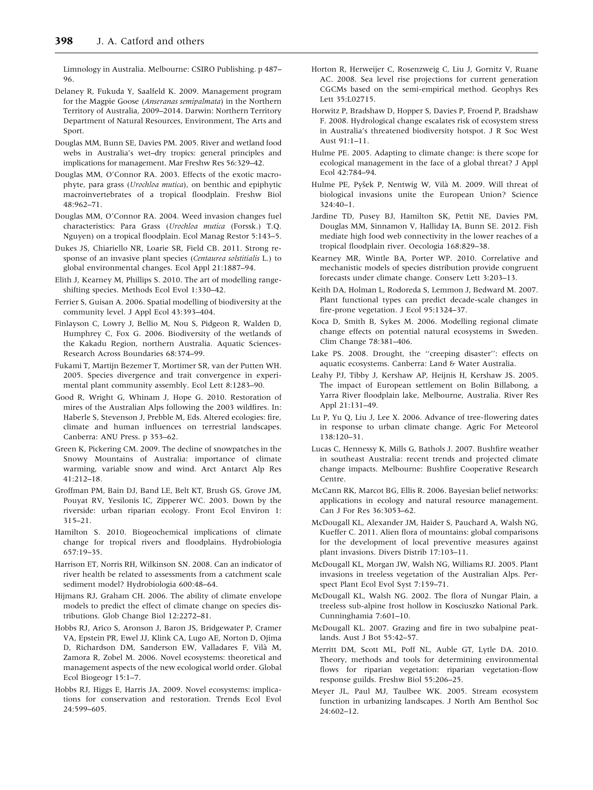<span id="page-16-0"></span>Limnology in Australia. Melbourne: CSIRO Publishing. p 487– 96.

- Delaney R, Fukuda Y, Saalfeld K. 2009. Management program for the Magpie Goose (Anseranas semipalmata) in the Northern Territory of Australia, 2009–2014. Darwin: Northern Territory Department of Natural Resources, Environment, The Arts and Sport.
- Douglas MM, Bunn SE, Davies PM. 2005. River and wetland food webs in Australia's wet–dry tropics: general principles and implications for management. Mar Freshw Res 56:329–42.
- Douglas MM, O'Connor RA. 2003. Effects of the exotic macrophyte, para grass (Urochloa mutica), on benthic and epiphytic macroinvertebrates of a tropical floodplain. Freshw Biol 48:962–71.
- Douglas MM, O'Connor RA. 2004. Weed invasion changes fuel characteristics: Para Grass (Urochloa mutica (Forssk.) T.Q. Nguyen) on a tropical floodplain. Ecol Manag Restor 5:143–5.
- Dukes JS, Chiariello NR, Loarie SR, Field CB. 2011. Strong response of an invasive plant species (Centaurea solstitialis L.) to global environmental changes. Ecol Appl 21:1887–94.
- Elith J, Kearney M, Phillips S. 2010. The art of modelling rangeshifting species. Methods Ecol Evol 1:330–42.
- Ferrier S, Guisan A. 2006. Spatial modelling of biodiversity at the community level. J Appl Ecol 43:393–404.
- Finlayson C, Lowry J, Bellio M, Nou S, Pidgeon R, Walden D, Humphrey C, Fox G. 2006. Biodiversity of the wetlands of the Kakadu Region, northern Australia. Aquatic Sciences-Research Across Boundaries 68:374–99.
- Fukami T, Martijn Bezemer T, Mortimer SR, van der Putten WH. 2005. Species divergence and trait convergence in experimental plant community assembly. Ecol Lett 8:1283–90.
- Good R, Wright G, Whinam J, Hope G. 2010. Restoration of mires of the Australian Alps following the 2003 wildfires. In: Haberle S, Stevenson J, Prebble M, Eds. Altered ecologies: fire, climate and human influences on terrestrial landscapes. Canberra: ANU Press. p 353–62.
- Green K, Pickering CM. 2009. The decline of snowpatches in the Snowy Mountains of Australia: importance of climate warming, variable snow and wind. Arct Antarct Alp Res 41:212–18.
- Groffman PM, Bain DJ, Band LE, Belt KT, Brush GS, Grove JM, Pouyat RV, Yesilonis IC, Zipperer WC. 2003. Down by the riverside: urban riparian ecology. Front Ecol Environ 1: 315–21.
- Hamilton S. 2010. Biogeochemical implications of climate change for tropical rivers and floodplains. Hydrobiologia 657:19–35.
- Harrison ET, Norris RH, Wilkinson SN. 2008. Can an indicator of river health be related to assessments from a catchment scale sediment model? Hydrobiologia 600:48–64.
- Hijmans RJ, Graham CH. 2006. The ability of climate envelope models to predict the effect of climate change on species distributions. Glob Change Biol 12:2272–81.
- Hobbs RJ, Arico S, Aronson J, Baron JS, Bridgewater P, Cramer VA, Epstein PR, Ewel JJ, Klink CA, Lugo AE, Norton D, Ojima D, Richardson DM, Sanderson EW, Valladares F, Vilà M, Zamora R, Zobel M. 2006. Novel ecosystems: theoretical and management aspects of the new ecological world order. Global Ecol Biogeogr 15:1–7.
- Hobbs RJ, Higgs E, Harris JA. 2009. Novel ecosystems: implications for conservation and restoration. Trends Ecol Evol 24:599–605.
- Horton R, Herweijer C, Rosenzweig C, Liu J, Gornitz V, Ruane AC. 2008. Sea level rise projections for current generation CGCMs based on the semi-empirical method. Geophys Res Lett 35:L02715.
- Horwitz P, Bradshaw D, Hopper S, Davies P, Froend P, Bradshaw F. 2008. Hydrological change escalates risk of ecosystem stress in Australia's threatened biodiversity hotspot. J R Soc West Aust 91:1–11.
- Hulme PE. 2005. Adapting to climate change: is there scope for ecological management in the face of a global threat? J Appl Ecol 42:784–94.
- Hulme PE, Pyšek P, Nentwig W, Vilà M. 2009. Will threat of biological invasions unite the European Union? Science 324:40–1.
- Jardine TD, Pusey BJ, Hamilton SK, Pettit NE, Davies PM, Douglas MM, Sinnamon V, Halliday IA, Bunn SE. 2012. Fish mediate high food web connectivity in the lower reaches of a tropical floodplain river. Oecologia 168:829–38.
- Kearney MR, Wintle BA, Porter WP. 2010. Correlative and mechanistic models of species distribution provide congruent forecasts under climate change. Conserv Lett 3:203–13.
- Keith DA, Holman L, Rodoreda S, Lemmon J, Bedward M. 2007. Plant functional types can predict decade-scale changes in fire-prone vegetation. J Ecol 95:1324–37.
- Koca D, Smith B, Sykes M. 2006. Modelling regional climate change effects on potential natural ecosystems in Sweden. Clim Change 78:381–406.
- Lake PS. 2008. Drought, the ''creeping disaster'': effects on aquatic ecosystems. Canberra: Land & Water Australia.
- Leahy PJ, Tibby J, Kershaw AP, Heijnis H, Kershaw JS. 2005. The impact of European settlement on Bolin Billabong, a Yarra River floodplain lake, Melbourne, Australia. River Res Appl 21:131–49.
- Lu P, Yu Q, Liu J, Lee X. 2006. Advance of tree-flowering dates in response to urban climate change. Agric For Meteorol 138:120–31.
- Lucas C, Hennessy K, Mills G, Bathols J. 2007. Bushfire weather in southeast Australia: recent trends and projected climate change impacts. Melbourne: Bushfire Cooperative Research Centre.
- McCann RK, Marcot BG, Ellis R. 2006. Bayesian belief networks: applications in ecology and natural resource management. Can J For Res 36:3053–62.
- McDougall KL, Alexander JM, Haider S, Pauchard A, Walsh NG, Kueffer C. 2011. Alien flora of mountains: global comparisons for the development of local preventive measures against plant invasions. Divers Distrib 17:103–11.
- McDougall KL, Morgan JW, Walsh NG, Williams RJ. 2005. Plant invasions in treeless vegetation of the Australian Alps. Perspect Plant Ecol Evol Syst 7:159–71.
- McDougall KL, Walsh NG. 2002. The flora of Nungar Plain, a treeless sub-alpine frost hollow in Kosciuszko National Park. Cunninghamia 7:601–10.
- McDougall KL. 2007. Grazing and fire in two subalpine peatlands. Aust J Bot 55:42–57.
- Merritt DM, Scott ML, Poff NL, Auble GT, Lytle DA. 2010. Theory, methods and tools for determining environmental flows for riparian vegetation: riparian vegetation-flow response guilds. Freshw Biol 55:206–25.
- Meyer JL, Paul MJ, Taulbee WK. 2005. Stream ecosystem function in urbanizing landscapes. J North Am Benthol Soc 24:602–12.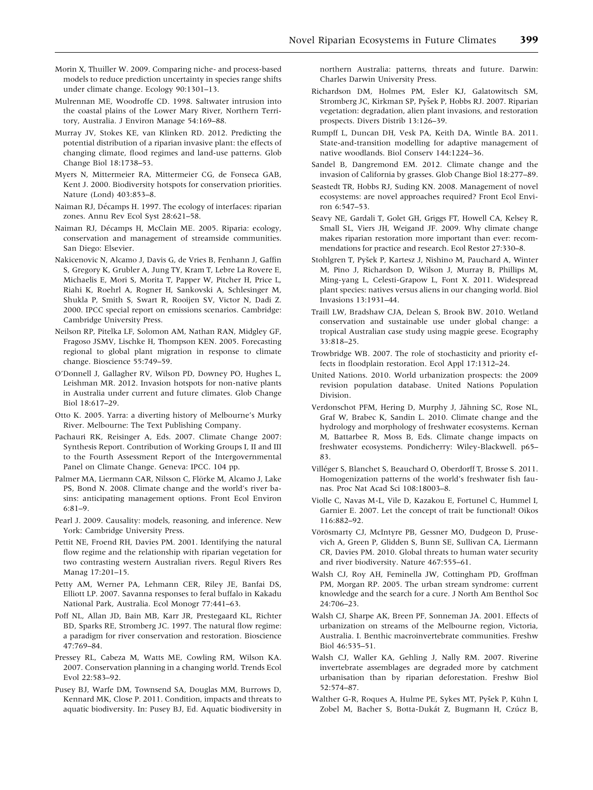- <span id="page-17-0"></span>Morin X, Thuiller W. 2009. Comparing niche- and process-based models to reduce prediction uncertainty in species range shifts under climate change. Ecology 90:1301–13.
- Mulrennan ME, Woodroffe CD. 1998. Saltwater intrusion into the coastal plains of the Lower Mary River, Northern Territory, Australia. J Environ Manage 54:169–88.
- Murray JV, Stokes KE, van Klinken RD. 2012. Predicting the potential distribution of a riparian invasive plant: the effects of changing climate, flood regimes and land-use patterns. Glob Change Biol 18:1738–53.
- Myers N, Mittermeier RA, Mittermeier CG, de Fonseca GAB, Kent J. 2000. Biodiversity hotspots for conservation priorities. Nature (Lond) 403:853–8.
- Naiman RJ, Décamps H. 1997. The ecology of interfaces: riparian zones. Annu Rev Ecol Syst 28:621–58.
- Naiman RJ, Décamps H, McClain ME. 2005. Riparia: ecology, conservation and management of streamside communities. San Diego: Elsevier.
- Nakicenovic N, Alcamo J, Davis G, de Vries B, Fenhann J, Gaffin S, Gregory K, Grubler A, Jung TY, Kram T, Lebre La Rovere E, Michaelis E, Mori S, Morita T, Papper W, Pitcher H, Price L, Riahi K, Roehrl A, Rogner H, Sankovski A, Schlesinger M, Shukla P, Smith S, Swart R, Rooijen SV, Victor N, Dadi Z. 2000. IPCC special report on emissions scenarios. Cambridge: Cambridge University Press.
- Neilson RP, Pitelka LF, Solomon AM, Nathan RAN, Midgley GF, Fragoso JSMV, Lischke H, Thompson KEN. 2005. Forecasting regional to global plant migration in response to climate change. Bioscience 55:749–59.
- O'Donnell J, Gallagher RV, Wilson PD, Downey PO, Hughes L, Leishman MR. 2012. Invasion hotspots for non-native plants in Australia under current and future climates. Glob Change Biol 18:617–29.
- Otto K. 2005. Yarra: a diverting history of Melbourne's Murky River. Melbourne: The Text Publishing Company.
- Pachauri RK, Reisinger A, Eds. 2007. Climate Change 2007: Synthesis Report. Contribution of Working Groups I, II and III to the Fourth Assessment Report of the Intergovernmental Panel on Climate Change. Geneva: IPCC. 104 pp.
- Palmer MA, Liermann CAR, Nilsson C, Flörke M, Alcamo J, Lake PS, Bond N. 2008. Climate change and the world's river basins: anticipating management options. Front Ecol Environ 6:81–9.
- Pearl J. 2009. Causality: models, reasoning, and inference. New York: Cambridge University Press.
- Pettit NE, Froend RH, Davies PM. 2001. Identifying the natural flow regime and the relationship with riparian vegetation for two contrasting western Australian rivers. Regul Rivers Res Manag 17:201–15.
- Petty AM, Werner PA, Lehmann CER, Riley JE, Banfai DS, Elliott LP. 2007. Savanna responses to feral buffalo in Kakadu National Park, Australia. Ecol Monogr 77:441–63.
- Poff NL, Allan JD, Bain MB, Karr JR, Prestegaard KL, Richter BD, Sparks RE, Stromberg JC. 1997. The natural flow regime: a paradigm for river conservation and restoration. Bioscience 47:769–84.
- Pressey RL, Cabeza M, Watts ME, Cowling RM, Wilson KA. 2007. Conservation planning in a changing world. Trends Ecol Evol 22:583–92.
- Pusey BJ, Warfe DM, Townsend SA, Douglas MM, Burrows D, Kennard MK, Close P. 2011. Condition, impacts and threats to aquatic biodiversity. In: Pusey BJ, Ed. Aquatic biodiversity in

northern Australia: patterns, threats and future. Darwin: Charles Darwin University Press.

- Richardson DM, Holmes PM, Esler KJ, Galatowitsch SM, Stromberg JC, Kirkman SP, Pyšek P, Hobbs RJ. 2007. Riparian vegetation: degradation, alien plant invasions, and restoration prospects. Divers Distrib 13:126–39.
- Rumpff L, Duncan DH, Vesk PA, Keith DA, Wintle BA. 2011. State-and-transition modelling for adaptive management of native woodlands. Biol Conserv 144:1224–36.
- Sandel B, Dangremond EM. 2012. Climate change and the invasion of California by grasses. Glob Change Biol 18:277–89.
- Seastedt TR, Hobbs RJ, Suding KN. 2008. Management of novel ecosystems: are novel approaches required? Front Ecol Environ 6:547–53.
- Seavy NE, Gardali T, Golet GH, Griggs FT, Howell CA, Kelsey R, Small SL, Viers JH, Weigand JF. 2009. Why climate change makes riparian restoration more important than ever: recommendations for practice and research. Ecol Restor 27:330–8.
- Stohlgren T, Pyšek P, Kartesz J, Nishino M, Pauchard A, Winter M, Pino J, Richardson D, Wilson J, Murray B, Phillips M, Ming-yang L, Celesti-Grapow L, Font X. 2011. Widespread plant species: natives versus aliens in our changing world. Biol Invasions 13:1931–44.
- Traill LW, Bradshaw CJA, Delean S, Brook BW. 2010. Wetland conservation and sustainable use under global change: a tropical Australian case study using magpie geese. Ecography 33:818–25.
- Trowbridge WB. 2007. The role of stochasticity and priority effects in floodplain restoration. Ecol Appl 17:1312–24.
- United Nations. 2010. World urbanization prospects: the 2009 revision population database. United Nations Population Division.
- Verdonschot PFM, Hering D, Murphy J, Jähning SC, Rose NL, Graf W, Brabec K, Sandin L. 2010. Climate change and the hydrology and morphology of freshwater ecosystems. Kernan M, Battarbee R, Moss B, Eds. Climate change impacts on freshwater ecosystems. Pondicherry: Wiley-Blackwell. p65– 83.
- Villéger S, Blanchet S, Beauchard O, Oberdorff T, Brosse S. 2011. Homogenization patterns of the world's freshwater fish faunas. Proc Nat Acad Sci 108:18003–8.
- Violle C, Navas M-L, Vile D, Kazakou E, Fortunel C, Hummel I, Garnier E. 2007. Let the concept of trait be functional! Oikos 116:882–92.
- Vörösmarty CJ, McIntyre PB, Gessner MO, Dudgeon D, Prusevich A, Green P, Glidden S, Bunn SE, Sullivan CA, Liermann CR, Davies PM. 2010. Global threats to human water security and river biodiversity. Nature 467:555–61.
- Walsh CJ, Roy AH, Feminella JW, Cottingham PD, Groffman PM, Morgan RP. 2005. The urban stream syndrome: current knowledge and the search for a cure. J North Am Benthol Soc 24:706–23.
- Walsh CJ, Sharpe AK, Breen PF, Sonneman JA. 2001. Effects of urbanization on streams of the Melbourne region, Victoria, Australia. I. Benthic macroinvertebrate communities. Freshw Biol 46:535–51.
- Walsh CJ, Waller KA, Gehling J, Nally RM. 2007. Riverine invertebrate assemblages are degraded more by catchment urbanisation than by riparian deforestation. Freshw Biol 52:574–87.
- Walther G-R, Roques A, Hulme PE, Sykes MT, Pyšek P, Kühn I, Zobel M, Bacher S, Botta-Dukát Z, Bugmann H, Czúcz B,